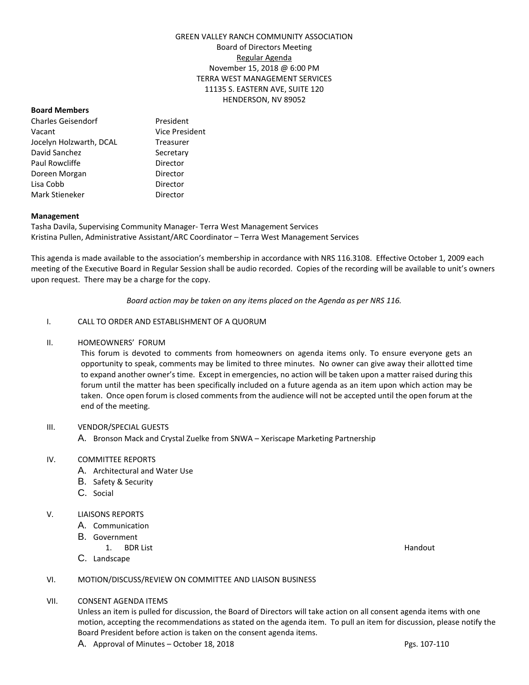## GREEN VALLEY RANCH COMMUNITY ASSOCIATION Board of Directors Meeting Regular Agenda November 15, 2018 @ 6:00 PM TERRA WEST MANAGEMENT SERVICES 11135 S. EASTERN AVE, SUITE 120 HENDERSON, NV 89052

#### **Board Members**

Charles Geisendorf President Vacant Vice President Jocelyn Holzwarth, DCAL Treasurer David Sanchez Secretary Paul Rowcliffe **Director** Doreen Morgan **Director** Lisa Cobb Director Mark Stieneker **Director** 

#### **Management**

Tasha Davila, Supervising Community Manager- Terra West Management Services Kristina Pullen, Administrative Assistant/ARC Coordinator – Terra West Management Services

This agenda is made available to the association's membership in accordance with NRS 116.3108. Effective October 1, 2009 each meeting of the Executive Board in Regular Session shall be audio recorded. Copies of the recording will be available to unit's owners upon request. There may be a charge for the copy.

*Board action may be taken on any items placed on the Agenda as per NRS 116.*

## I. CALL TO ORDER AND ESTABLISHMENT OF A QUORUM

#### II. HOMEOWNERS' FORUM

This forum is devoted to comments from homeowners on agenda items only. To ensure everyone gets an opportunity to speak, comments may be limited to three minutes. No owner can give away their allotted time to expand another owner's time. Except in emergencies, no action will be taken upon a matter raised during this forum until the matter has been specifically included on a future agenda as an item upon which action may be taken. Once open forum is closed comments from the audience will not be accepted until the open forum at the end of the meeting.

## III. VENDOR/SPECIAL GUESTS

A. Bronson Mack and Crystal Zuelke from SNWA – Xeriscape Marketing Partnership

## IV. COMMITTEE REPORTS

- A. Architectural and Water Use
- B. Safety & Security
- C. Social

## V. LIAISONS REPORTS

- A. Communication
- B. Government
	- 1. BDR List Handout
- C. Landscape

## VI. MOTION/DISCUSS/REVIEW ON COMMITTEE AND LIAISON BUSINESS

#### VII. CONSENT AGENDA ITEMS

Unless an item is pulled for discussion, the Board of Directors will take action on all consent agenda items with one motion, accepting the recommendations as stated on the agenda item. To pull an item for discussion, please notify the Board President before action is taken on the consent agenda items.

A. Approval of Minutes – October 18, 2018 Pgs. 107-110